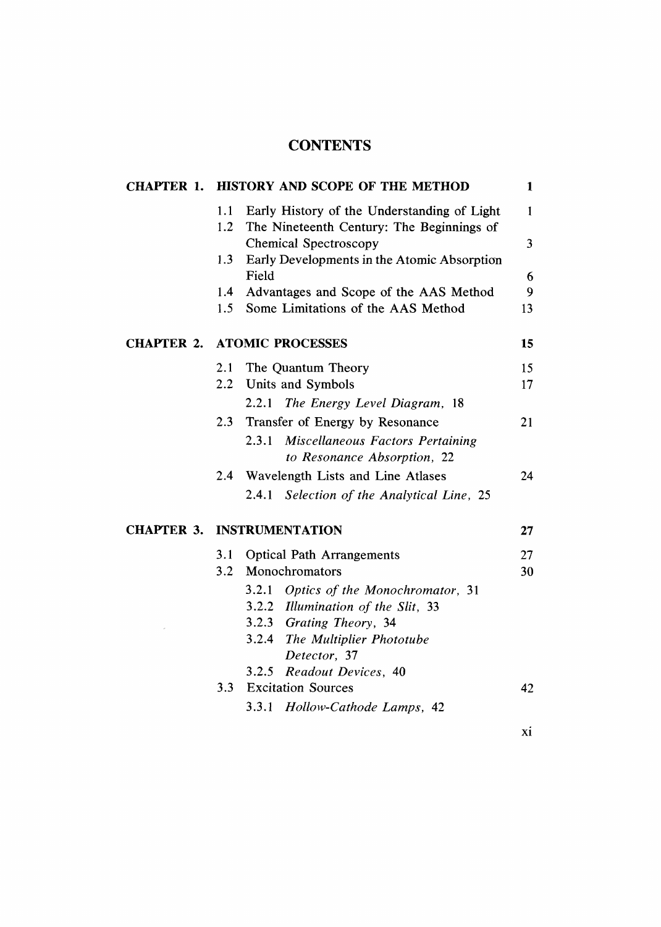## **CONTENTS**

| <b>CHAPTER 1.</b> | <b>HISTORY AND SCOPE OF THE METHOD</b> |                                                                                          |    |  |
|-------------------|----------------------------------------|------------------------------------------------------------------------------------------|----|--|
|                   | 1.1<br>1.2                             | Early History of the Understanding of Light<br>The Nineteenth Century: The Beginnings of | 1  |  |
|                   |                                        | <b>Chemical Spectroscopy</b>                                                             | 3  |  |
|                   | 1.3                                    | Early Developments in the Atomic Absorption<br>Field                                     | 6  |  |
|                   | 1.4                                    | Advantages and Scope of the AAS Method                                                   | 9  |  |
|                   | 1.5                                    | Some Limitations of the AAS Method                                                       | 13 |  |
| <b>CHAPTER 2.</b> | <b>ATOMIC PROCESSES</b>                |                                                                                          |    |  |
|                   | 2.1                                    | The Quantum Theory                                                                       | 15 |  |
|                   | $2.2^{\circ}$                          | Units and Symbols                                                                        | 17 |  |
|                   |                                        | The Energy Level Diagram, 18<br>2.2.1                                                    |    |  |
|                   | 2.3                                    | Transfer of Energy by Resonance                                                          | 21 |  |
|                   |                                        | 2.3.1<br>Miscellaneous Factors Pertaining                                                |    |  |
|                   |                                        | to Resonance Absorption, 22                                                              |    |  |
|                   | $2.4^{\circ}$                          | Wavelength Lists and Line Atlases                                                        | 24 |  |
|                   |                                        | Selection of the Analytical Line, 25<br>2.4.1                                            |    |  |
|                   | <b>CHAPTER 3. INSTRUMENTATION</b>      |                                                                                          |    |  |
|                   | 3.1                                    | <b>Optical Path Arrangements</b>                                                         | 27 |  |
|                   | 3.2                                    | Monochromators                                                                           | 30 |  |
|                   |                                        | 3.2.1<br>Optics of the Monochromator, 31                                                 |    |  |
|                   |                                        | 3.2.2 Illumination of the Slit, 33                                                       |    |  |
|                   |                                        | 3.2.3 Grating Theory, 34                                                                 |    |  |
|                   |                                        | 3.2.4 The Multiplier Phototube                                                           |    |  |
|                   |                                        | Detector, 37                                                                             |    |  |
|                   | 3.3                                    | 3.2.5<br>Readout Devices, 40<br><b>Excitation Sources</b>                                | 42 |  |
|                   |                                        |                                                                                          |    |  |
|                   |                                        | 3.3.1<br>Hollow-Cathode Lamps, 42                                                        |    |  |

xi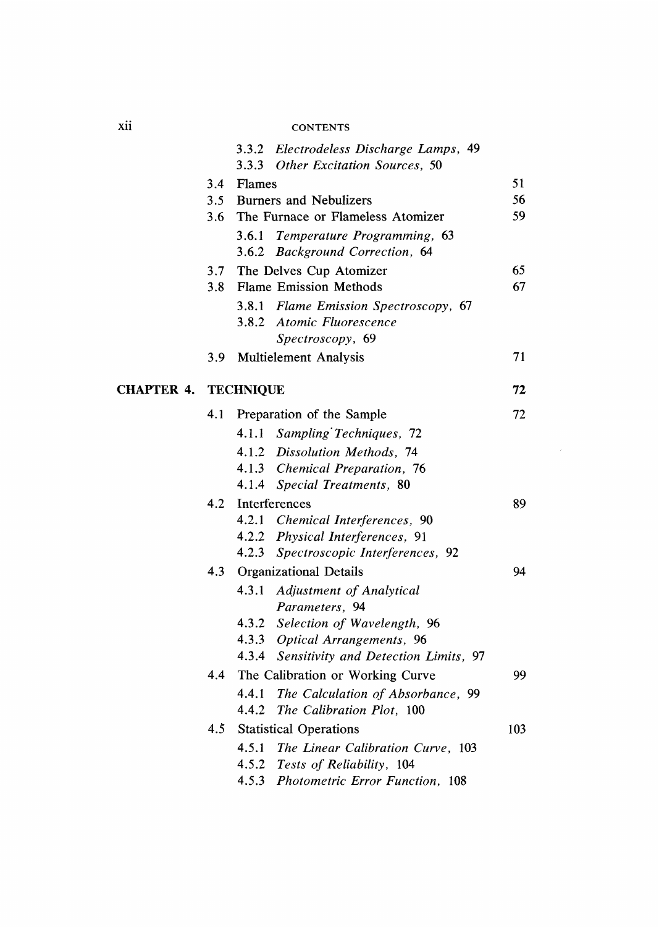## **CONTENTS**

|                   |                  |                               | 3.3.2 Electrodeless Discharge Lamps, 49    |     |
|-------------------|------------------|-------------------------------|--------------------------------------------|-----|
|                   |                  |                               | 3.3.3 Other Excitation Sources, 50         |     |
|                   | 3.4              | Flames                        |                                            | 51  |
|                   | 3.5              | <b>Burners and Nebulizers</b> |                                            | 56  |
|                   | 3.6              |                               | The Furnace or Flameless Atomizer          | 59  |
|                   |                  |                               | 3.6.1 Temperature Programming, 63          |     |
|                   |                  |                               | 3.6.2 Background Correction, 64            |     |
|                   |                  |                               | 3.7 The Delves Cup Atomizer                | 65  |
|                   | 3.8              |                               | <b>Flame Emission Methods</b>              | 67  |
|                   |                  |                               | 3.8.1 Flame Emission Spectroscopy, 67      |     |
|                   |                  |                               | 3.8.2 Atomic Fluorescence                  |     |
|                   |                  |                               | Spectroscopy, 69                           |     |
|                   | 3.9 <sub>2</sub> |                               | <b>Multielement Analysis</b>               | 71  |
| <b>CHAPTER 4.</b> | <b>TECHNIQUE</b> |                               |                                            | 72  |
|                   | 4.1              |                               | Preparation of the Sample                  | 72  |
|                   |                  |                               | 4.1.1 Sampling Techniques, 72              |     |
|                   |                  |                               | 4.1.2 Dissolution Methods, 74              |     |
|                   |                  |                               | 4.1.3 Chemical Preparation, 76             |     |
|                   |                  |                               | 4.1.4 Special Treatments, 80               |     |
|                   | 4.2              |                               | Interferences                              |     |
|                   |                  |                               | 4.2.1 Chemical Interferences, 90           |     |
|                   |                  |                               | 4.2.2 Physical Interferences, 91           |     |
|                   |                  |                               | 4.2.3 Spectroscopic Interferences, 92      |     |
|                   | 4.3              |                               | <b>Organizational Details</b>              | 94  |
|                   |                  |                               | 4.3.1 Adjustment of Analytical             |     |
|                   |                  |                               | Parameters, 94                             |     |
|                   |                  |                               | 4.3.2 Selection of Wavelength, 96          |     |
|                   |                  |                               | 4.3.3 Optical Arrangements, 96             |     |
|                   |                  |                               | 4.3.4 Sensitivity and Detection Limits, 97 |     |
|                   | 4.4              |                               | The Calibration or Working Curve           | 99  |
|                   |                  |                               | 4.4.1 The Calculation of Absorbance, 99    |     |
|                   |                  |                               | 4.4.2 The Calibration Plot, 100            |     |
|                   | 4.5              |                               | <b>Statistical Operations</b>              | 103 |
|                   |                  |                               | 4.5.1 The Linear Calibration Curve, 103    |     |
|                   |                  |                               | 4.5.2 Tests of Reliability, 104            |     |
|                   |                  | 4.5.3                         | Photometric Error Function, 108            |     |

xii